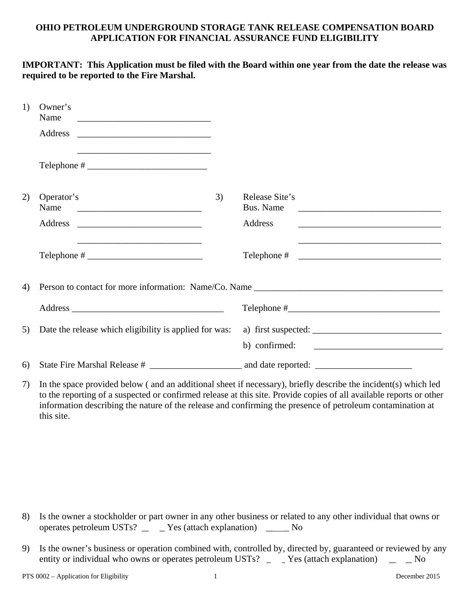# **OHIO PETROLEUM UNDERGROUND STORAGE TANK RELEASE COMPENSATION BOARD APPLICATION FOR FINANCIAL ASSURANCE FUND ELIGIBILITY**

### **IMPORTANT: This Application must be filed with the Board within one year from the date the release was required to be reported to the Fire Marshal.**

| 1) | Owner's<br>Name<br>Address                             |    |                                                                                                                      |  |  |  |
|----|--------------------------------------------------------|----|----------------------------------------------------------------------------------------------------------------------|--|--|--|
|    |                                                        |    |                                                                                                                      |  |  |  |
| 2) | Operator's<br>Name                                     | 3) | Release Site's<br>Bus. Name                                                                                          |  |  |  |
|    |                                                        |    | Address                                                                                                              |  |  |  |
|    | $\text{Telephone} \#$                                  |    | <u> 1989 - Johann John Harry Harry Harry Harry Harry Harry Harry Harry Harry Harry Harry Harry Harry Harry Harry</u> |  |  |  |
| 4) |                                                        |    |                                                                                                                      |  |  |  |
|    |                                                        |    |                                                                                                                      |  |  |  |
| 5) | Date the release which eligibility is applied for was: |    | a) first suspected: $\frac{1}{\sqrt{1-\frac{1}{2}} \cdot \frac{1}{2}}$<br>b) confirmed: $\qquad \qquad$              |  |  |  |
| 6) |                                                        |    |                                                                                                                      |  |  |  |

7) In the space provided below ( and an additional sheet if necessary), briefly describe the incident(s) which led to the reporting of a suspected or confirmed release at this site. Provide copies of all available reports or other information describing the nature of the release and confirming the presence of petroleum contamination at this site.

- 8) Is the owner a stockholder or part owner in any other business or related to any other individual that owns or operates petroleum USTs? \_\_\_\_\_ Yes (attach explanation) \_\_\_\_\_ No
- 9) Is the owner's business or operation combined with, controlled by, directed by, guaranteed or reviewed by any entity or individual who owns or operates petroleum USTs? \_\_\_\_ Yes (attach explanation) \_\_\_ \_ No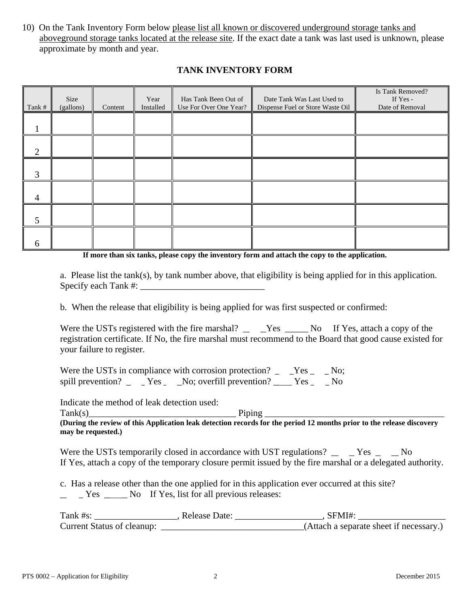10) On the Tank Inventory Form below please list all known or discovered underground storage tanks and aboveground storage tanks located at the release site. If the exact date a tank was last used is unknown, please approximate by month and year.

| Tank #         | Size<br>(gallons) | Content | Year<br>Installed | Has Tank Been Out of<br>Use For Over One Year? | Date Tank Was Last Used to<br>Dispense Fuel or Store Waste Oil | Is Tank Removed?<br>If Yes -<br>Date of Removal |
|----------------|-------------------|---------|-------------------|------------------------------------------------|----------------------------------------------------------------|-------------------------------------------------|
|                |                   |         |                   |                                                |                                                                |                                                 |
| 2              |                   |         |                   |                                                |                                                                |                                                 |
| 3              |                   |         |                   |                                                |                                                                |                                                 |
| $\overline{4}$ |                   |         |                   |                                                |                                                                |                                                 |
|                |                   |         |                   |                                                |                                                                |                                                 |
| 6              |                   |         |                   |                                                |                                                                |                                                 |

# **TANK INVENTORY FORM**

**If more than six tanks, please copy the inventory form and attach the copy to the application.**

 a. Please list the tank(s), by tank number above, that eligibility is being applied for in this application. Specify each Tank  $#$ :

b. When the release that eligibility is being applied for was first suspected or confirmed:

Were the USTs registered with the fire marshal?  $\angle$   $\angle$  Yes  $\angle$  No If Yes, attach a copy of the registration certificate. If No, the fire marshal must recommend to the Board that good cause existed for your failure to register.

Were the USTs in compliance with corrosion protection?  $\angle$   $\angle$  Yes  $\angle$   $\angle$  No; spill prevention?  $\overline{\phantom{a}}$  Yes  $\overline{\phantom{a}}$  No; overfill prevention?  $\overline{\phantom{a}}$  Yes  $\overline{\phantom{a}}$  No

Indicate the method of leak detection used:

 $\text{Tank}(s)$ 

**(During the review of this Application leak detection records for the period 12 months prior to the release discovery may be requested.)** 

Were the USTs temporarily closed in accordance with UST regulations?  $\angle$   $\angle$  Yes  $\angle$   $\angle$  No If Yes, attach a copy of the temporary closure permit issued by the fire marshal or a delegated authority.

c. Has a release other than the one applied for in this application ever occurred at this site?

 $\angle$   $\angle$  Yes  $\angle$  No If Yes, list for all previous releases:

| rank #s:                   | Release Date: | FMI#                                    |
|----------------------------|---------------|-----------------------------------------|
| Current Status of cleanup: |               | (Attach a separate sheet if necessary.) |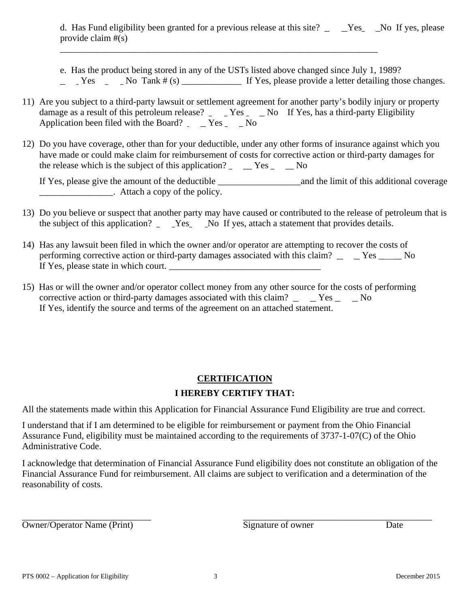d. Has Fund eligibility been granted for a previous release at this site? Yes No If yes, please provide claim #(s)

 e. Has the product being stored in any of the USTs listed above changed since July 1, 1989?  $Yes$  No Tank # (s) If Yes, please provide a letter detailing those changes.

11) Are you subject to a third-party lawsuit or settlement agreement for another party's bodily injury or property damage as a result of this petroleum release?  $\angle$  Yes  $\angle$  No If Yes, has a third-party Eligibility Application been filed with the Board?  $\angle$  Yes  $\angle$  No

\_\_\_\_\_\_\_\_\_\_\_\_\_\_\_\_\_\_\_\_\_\_\_\_\_\_\_\_\_\_\_\_\_\_\_\_\_\_\_\_\_\_\_\_\_\_\_\_\_\_\_\_\_\_\_\_\_\_\_\_\_\_\_\_\_\_\_\_\_

12) Do you have coverage, other than for your deductible, under any other forms of insurance against which you have made or could make claim for reimbursement of costs for corrective action or third-party damages for the release which is the subject of this application?  $\angle$   $\angle$  Yes  $\angle$   $\angle$  No

 If Yes, please give the amount of the deductible \_\_\_\_\_\_\_\_\_\_\_\_\_\_\_\_\_\_and the limit of this additional coverage \_\_\_\_\_\_\_\_\_\_\_\_\_\_\_\_. Attach a copy of the policy.

- 13) Do you believe or suspect that another party may have caused or contributed to the release of petroleum that is the subject of this application? \_ \_\_Yes\_ \_\_No If yes, attach a statement that provides details.
- 14) Has any lawsuit been filed in which the owner and/or operator are attempting to recover the costs of performing corrective action or third-party damages associated with this claim? \_\_\_\_\_ Yes \_\_\_\_\_ No If Yes, please state in which court.
- 15) Has or will the owner and/or operator collect money from any other source for the costs of performing corrective action or third-party damages associated with this claim?  $\angle$   $\angle$  Yes  $\angle$  No If Yes, identify the source and terms of the agreement on an attached statement.

# **CERTIFICATION I HEREBY CERTIFY THAT:**

All the statements made within this Application for Financial Assurance Fund Eligibility are true and correct.

I understand that if I am determined to be eligible for reimbursement or payment from the Ohio Financial Assurance Fund, eligibility must be maintained according to the requirements of 3737-1-07(C) of the Ohio Administrative Code.

I acknowledge that determination of Financial Assurance Fund eligibility does not constitute an obligation of the Financial Assurance Fund for reimbursement. All claims are subject to verification and a determination of the reasonability of costs.

\_\_\_\_\_\_\_\_\_\_\_\_\_\_\_\_\_\_\_\_\_\_\_\_\_\_\_\_ \_\_\_\_\_\_\_\_\_\_\_\_\_\_\_\_\_\_\_\_\_\_\_\_\_\_\_\_\_\_\_\_\_\_\_\_\_\_\_\_\_ Owner/Operator Name (Print) Signature of owner Date